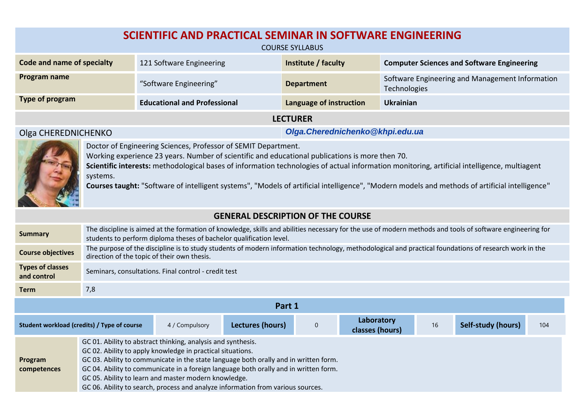| SCIENTIFIC AND PRACTICAL SEMINAR IN SOFTWARE ENGINEERING<br><b>COURSE SYLLABUS</b>                                                                                                                                                                                                                                                                                                                                                                                              |                                                         |                                     |                         |                                                                 |  |  |  |  |
|---------------------------------------------------------------------------------------------------------------------------------------------------------------------------------------------------------------------------------------------------------------------------------------------------------------------------------------------------------------------------------------------------------------------------------------------------------------------------------|---------------------------------------------------------|-------------------------------------|-------------------------|-----------------------------------------------------------------|--|--|--|--|
| Code and name of specialty                                                                                                                                                                                                                                                                                                                                                                                                                                                      |                                                         | 121 Software Engineering            | Institute / faculty     | <b>Computer Sciences and Software Engineering</b>               |  |  |  |  |
| Program name                                                                                                                                                                                                                                                                                                                                                                                                                                                                    |                                                         | "Software Engineering"              | <b>Department</b>       | Software Engineering and Management Information<br>Technologies |  |  |  |  |
| Type of program                                                                                                                                                                                                                                                                                                                                                                                                                                                                 |                                                         | <b>Educational and Professional</b> | Language of instruction | Ukrainian                                                       |  |  |  |  |
|                                                                                                                                                                                                                                                                                                                                                                                                                                                                                 | <b>LECTURER</b>                                         |                                     |                         |                                                                 |  |  |  |  |
|                                                                                                                                                                                                                                                                                                                                                                                                                                                                                 | Olga. Cherednichenko@khpi.edu.ua<br>Olga CHEREDNICHENKO |                                     |                         |                                                                 |  |  |  |  |
| Doctor of Engineering Sciences, Professor of SEMIT Department.<br>Working experience 23 years. Number of scientific and educational publications is more then 70.<br>Scientific interests: methodological bases of information technologies of actual information monitoring, artificial intelligence, multiagent<br>systems.<br>Courses taught: "Software of intelligent systems", "Models of artificial intelligence", "Modern models and methods of artificial intelligence" |                                                         |                                     |                         |                                                                 |  |  |  |  |

## **GENERAL DESCRIPTION OF THE COURSE**

| <b>Summary</b>                                                                                                                                                                                                                                                                                                                                                                                                                                                                  | The discipline is aimed at the formation of knowledge, skills and abilities necessary for the use of modern methods and tools of software engineering for<br>students to perform diploma theses of bachelor qualification level. |  |  |  |  |  |  |  |  |  |
|---------------------------------------------------------------------------------------------------------------------------------------------------------------------------------------------------------------------------------------------------------------------------------------------------------------------------------------------------------------------------------------------------------------------------------------------------------------------------------|----------------------------------------------------------------------------------------------------------------------------------------------------------------------------------------------------------------------------------|--|--|--|--|--|--|--|--|--|
| <b>Course objectives</b>                                                                                                                                                                                                                                                                                                                                                                                                                                                        | The purpose of the discipline is to study students of modern information technology, methodological and practical foundations of research work in the<br>direction of the topic of their own thesis.                             |  |  |  |  |  |  |  |  |  |
| <b>Types of classes</b><br>and control                                                                                                                                                                                                                                                                                                                                                                                                                                          | Seminars, consultations. Final control - credit test                                                                                                                                                                             |  |  |  |  |  |  |  |  |  |
| <b>Term</b>                                                                                                                                                                                                                                                                                                                                                                                                                                                                     | 7,8                                                                                                                                                                                                                              |  |  |  |  |  |  |  |  |  |
|                                                                                                                                                                                                                                                                                                                                                                                                                                                                                 | Part 1                                                                                                                                                                                                                           |  |  |  |  |  |  |  |  |  |
|                                                                                                                                                                                                                                                                                                                                                                                                                                                                                 | Laboratory<br>Lectures (hours)<br>$\theta$<br>Self-study (hours)<br>16<br>Student workload (credits) / Type of course<br>4 / Compulsory<br>104<br>classes (hours)                                                                |  |  |  |  |  |  |  |  |  |
| GC 01. Ability to abstract thinking, analysis and synthesis.<br>GC 02. Ability to apply knowledge in practical situations.<br>GC 03. Ability to communicate in the state language both orally and in written form.<br>Program<br>GC 04. Ability to communicate in a foreign language both orally and in written form.<br>competences<br>GC 05. Ability to learn and master modern knowledge.<br>GC 06. Ability to search, process and analyze information from various sources. |                                                                                                                                                                                                                                  |  |  |  |  |  |  |  |  |  |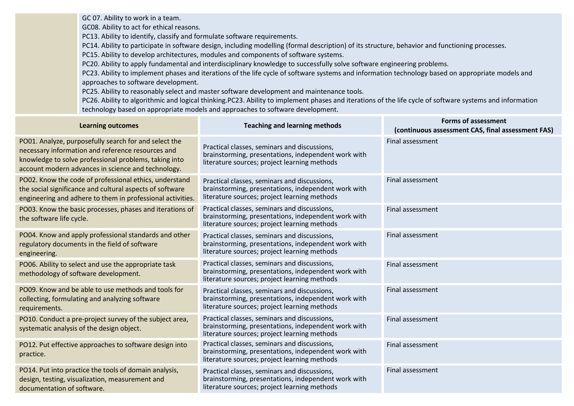GC 07. Ability to work in a team.

GC08. Ability to act for ethical reasons.

PC13. Ability to identify, classify and formulate software requirements.

PC14. Ability to participate in software design, including modelling (formal description) of its structure, behavior and functioning processes.

PC15. Ability to develop architectures, modules and components of software systems.

PC20. Ability to apply fundamental and interdisciplinary knowledge to successfully solve software engineering problems.

PC23. Ability to implement phases and iterations of the life cycle of software systems and information technology based on appropriate models and approaches to software development.

PC25. Ability to reasonably select and master software development and maintenance tools.

PC26. Ability to algorithmic and logical thinking.PC23. Ability to implement phases and iterations of the life cycle of software systems and information technology based on appropriate models and approaches to software development.

| <b>Learning outcomes</b>                                                                                                                                                                                                  | <b>Teaching and learning methods</b>                                                                                                                | <b>Forms of assessment</b><br>(continuous assessment CAS, final assessment FAS) |
|---------------------------------------------------------------------------------------------------------------------------------------------------------------------------------------------------------------------------|-----------------------------------------------------------------------------------------------------------------------------------------------------|---------------------------------------------------------------------------------|
| PO01. Analyze, purposefully search for and select the<br>necessary information and reference resources and<br>knowledge to solve professional problems, taking into<br>account modern advances in science and technology. | Practical classes, seminars and discussions,<br>brainstorming, presentations, independent work with<br>literature sources; project learning methods | Final assessment                                                                |
| PO02. Know the code of professional ethics, understand<br>the social significance and cultural aspects of software<br>engineering and adhere to them in professional activities.                                          | Practical classes, seminars and discussions,<br>brainstorming, presentations, independent work with<br>literature sources; project learning methods | Final assessment                                                                |
| PO03. Know the basic processes, phases and iterations of<br>the software life cycle.                                                                                                                                      | Practical classes, seminars and discussions,<br>brainstorming, presentations, independent work with<br>literature sources; project learning methods | Final assessment                                                                |
| PO04. Know and apply professional standards and other<br>regulatory documents in the field of software<br>engineering.                                                                                                    | Practical classes, seminars and discussions,<br>brainstorming, presentations, independent work with<br>literature sources; project learning methods | Final assessment                                                                |
| PO06. Ability to select and use the appropriate task<br>methodology of software development.                                                                                                                              | Practical classes, seminars and discussions,<br>brainstorming, presentations, independent work with<br>literature sources; project learning methods | Final assessment                                                                |
| PO09. Know and be able to use methods and tools for<br>collecting, formulating and analyzing software<br>requirements.                                                                                                    | Practical classes, seminars and discussions,<br>brainstorming, presentations, independent work with<br>literature sources; project learning methods | Final assessment                                                                |
| PO10. Conduct a pre-project survey of the subject area,<br>systematic analysis of the design object.                                                                                                                      | Practical classes, seminars and discussions,<br>brainstorming, presentations, independent work with<br>literature sources; project learning methods | Final assessment                                                                |
| PO12. Put effective approaches to software design into<br>practice.                                                                                                                                                       | Practical classes, seminars and discussions,<br>brainstorming, presentations, independent work with<br>literature sources; project learning methods | Final assessment                                                                |
| PO14. Put into practice the tools of domain analysis,<br>design, testing, visualization, measurement and<br>documentation of software.                                                                                    | Practical classes, seminars and discussions,<br>brainstorming, presentations, independent work with<br>literature sources; project learning methods | Final assessment                                                                |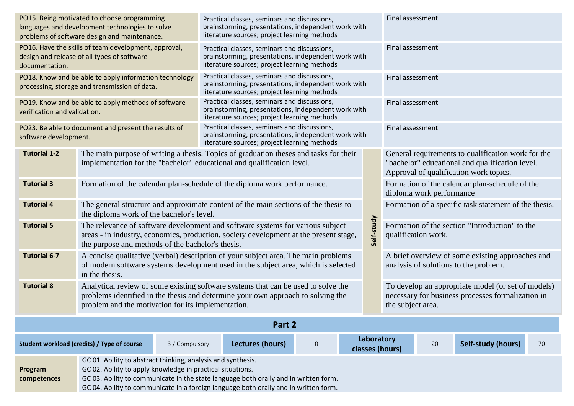| PO15. Being motivated to choose programming<br>languages and development technologies to solve<br>problems of software design and maintenance.                                                                                                                                                                                       |                                                                                                                                                                                                                              |  | Practical classes, seminars and discussions,<br>brainstorming, presentations, independent work with<br>literature sources; project learning methods |                                                                                                                                                     |                  | Final assessment                                                                                                                                |                                                                            |                                                       |                                                                                           |                                                                                                         |    |
|--------------------------------------------------------------------------------------------------------------------------------------------------------------------------------------------------------------------------------------------------------------------------------------------------------------------------------------|------------------------------------------------------------------------------------------------------------------------------------------------------------------------------------------------------------------------------|--|-----------------------------------------------------------------------------------------------------------------------------------------------------|-----------------------------------------------------------------------------------------------------------------------------------------------------|------------------|-------------------------------------------------------------------------------------------------------------------------------------------------|----------------------------------------------------------------------------|-------------------------------------------------------|-------------------------------------------------------------------------------------------|---------------------------------------------------------------------------------------------------------|----|
| PO16. Have the skills of team development, approval,<br>design and release of all types of software<br>documentation.                                                                                                                                                                                                                |                                                                                                                                                                                                                              |  |                                                                                                                                                     | Practical classes, seminars and discussions,<br>brainstorming, presentations, independent work with<br>literature sources; project learning methods |                  |                                                                                                                                                 | Final assessment                                                           |                                                       |                                                                                           |                                                                                                         |    |
|                                                                                                                                                                                                                                                                                                                                      | PO18. Know and be able to apply information technology<br>processing, storage and transmission of data.                                                                                                                      |  | Practical classes, seminars and discussions,<br>brainstorming, presentations, independent work with<br>literature sources; project learning methods |                                                                                                                                                     |                  | Final assessment                                                                                                                                |                                                                            |                                                       |                                                                                           |                                                                                                         |    |
| verification and validation.                                                                                                                                                                                                                                                                                                         | PO19. Know and be able to apply methods of software                                                                                                                                                                          |  | Practical classes, seminars and discussions,<br>brainstorming, presentations, independent work with<br>literature sources; project learning methods |                                                                                                                                                     |                  | Final assessment                                                                                                                                |                                                                            |                                                       |                                                                                           |                                                                                                         |    |
| software development.                                                                                                                                                                                                                                                                                                                | PO23. Be able to document and present the results of                                                                                                                                                                         |  | Practical classes, seminars and discussions,<br>brainstorming, presentations, independent work with<br>literature sources; project learning methods |                                                                                                                                                     |                  | Final assessment                                                                                                                                |                                                                            |                                                       |                                                                                           |                                                                                                         |    |
| <b>Tutorial 1-2</b>                                                                                                                                                                                                                                                                                                                  | The main purpose of writing a thesis. Topics of graduation theses and tasks for their<br>implementation for the "bachelor" educational and qualification level.                                                              |  |                                                                                                                                                     |                                                                                                                                                     |                  | General requirements to qualification work for the<br>"bachelor" educational and qualification level.<br>Approval of qualification work topics. |                                                                            |                                                       |                                                                                           |                                                                                                         |    |
| <b>Tutorial 3</b>                                                                                                                                                                                                                                                                                                                    | Formation of the calendar plan-schedule of the diploma work performance.                                                                                                                                                     |  |                                                                                                                                                     |                                                                                                                                                     |                  |                                                                                                                                                 | Formation of the calendar plan-schedule of the<br>diploma work performance |                                                       |                                                                                           |                                                                                                         |    |
| <b>Tutorial 4</b>                                                                                                                                                                                                                                                                                                                    | The general structure and approximate content of the main sections of the thesis to<br>the diploma work of the bachelor's level.                                                                                             |  |                                                                                                                                                     |                                                                                                                                                     |                  |                                                                                                                                                 |                                                                            | Formation of a specific task statement of the thesis. |                                                                                           |                                                                                                         |    |
| <b>Tutorial 5</b>                                                                                                                                                                                                                                                                                                                    | The relevance of software development and software systems for various subject<br>areas - in industry, economics, production, society development at the present stage,<br>the purpose and methods of the bachelor's thesis. |  |                                                                                                                                                     |                                                                                                                                                     |                  | Self-study                                                                                                                                      | Formation of the section "Introduction" to the<br>qualification work.      |                                                       |                                                                                           |                                                                                                         |    |
| <b>Tutorial 6-7</b>                                                                                                                                                                                                                                                                                                                  | A concise qualitative (verbal) description of your subject area. The main problems<br>of modern software systems development used in the subject area, which is selected<br>in the thesis.                                   |  |                                                                                                                                                     |                                                                                                                                                     |                  |                                                                                                                                                 |                                                                            |                                                       | A brief overview of some existing approaches and<br>analysis of solutions to the problem. |                                                                                                         |    |
| <b>Tutorial 8</b>                                                                                                                                                                                                                                                                                                                    | Analytical review of some existing software systems that can be used to solve the<br>problems identified in the thesis and determine your own approach to solving the<br>problem and the motivation for its implementation.  |  |                                                                                                                                                     |                                                                                                                                                     |                  |                                                                                                                                                 |                                                                            | the subject area.                                     |                                                                                           | To develop an appropriate model (or set of models)<br>necessary for business processes formalization in |    |
| Part 2                                                                                                                                                                                                                                                                                                                               |                                                                                                                                                                                                                              |  |                                                                                                                                                     |                                                                                                                                                     |                  |                                                                                                                                                 |                                                                            |                                                       |                                                                                           |                                                                                                         |    |
| Student workload (credits) / Type of course<br>3 / Compulsory                                                                                                                                                                                                                                                                        |                                                                                                                                                                                                                              |  |                                                                                                                                                     | Lectures (hours)                                                                                                                                    | $\boldsymbol{0}$ |                                                                                                                                                 | Laboratory                                                                 | classes (hours)                                       | 20                                                                                        | Self-study (hours)                                                                                      | 70 |
| GC 01. Ability to abstract thinking, analysis and synthesis.<br>GC 02. Ability to apply knowledge in practical situations.<br>Program<br>GC 03. Ability to communicate in the state language both orally and in written form.<br>competences<br>GC 04. Ability to communicate in a foreign language both orally and in written form. |                                                                                                                                                                                                                              |  |                                                                                                                                                     |                                                                                                                                                     |                  |                                                                                                                                                 |                                                                            |                                                       |                                                                                           |                                                                                                         |    |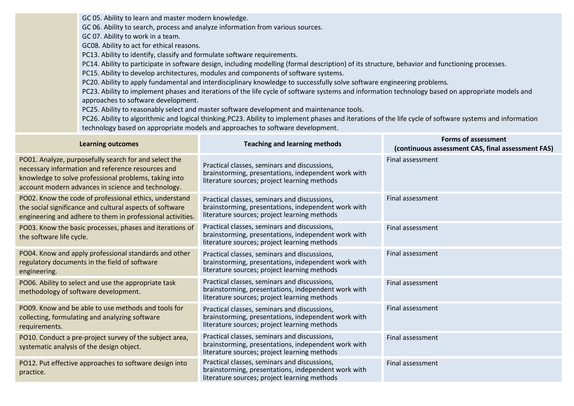GC 05. Ability to learn and master modern knowledge.

GC 06. Ability to search, process and analyze information from various sources.

GC 07. Ability to work in a team.

GC08. Ability to act for ethical reasons.

PC13. Ability to identify, classify and formulate software requirements.

PC14. Ability to participate in software design, including modelling (formal description) of its structure, behavior and functioning processes.

PC15. Ability to develop architectures, modules and components of software systems.

PC20. Ability to apply fundamental and interdisciplinary knowledge to successfully solve software engineering problems.

PC23. Ability to implement phases and iterations of the life cycle of software systems and information technology based on appropriate models and approaches to software development.

PC25. Ability to reasonably select and master software development and maintenance tools.

PC26. Ability to algorithmic and logical thinking.PC23. Ability to implement phases and iterations of the life cycle of software systems and information technology based on appropriate models and approaches to software development.

| <b>Learning outcomes</b>                                                                                                                                                                                                  | <b>Teaching and learning methods</b>                                                                                                                | <b>Forms of assessment</b><br>(continuous assessment CAS, final assessment FAS) |
|---------------------------------------------------------------------------------------------------------------------------------------------------------------------------------------------------------------------------|-----------------------------------------------------------------------------------------------------------------------------------------------------|---------------------------------------------------------------------------------|
| PO01. Analyze, purposefully search for and select the<br>necessary information and reference resources and<br>knowledge to solve professional problems, taking into<br>account modern advances in science and technology. | Practical classes, seminars and discussions,<br>brainstorming, presentations, independent work with<br>literature sources; project learning methods | Final assessment                                                                |
| PO02. Know the code of professional ethics, understand<br>the social significance and cultural aspects of software<br>engineering and adhere to them in professional activities.                                          | Practical classes, seminars and discussions,<br>brainstorming, presentations, independent work with<br>literature sources; project learning methods | Final assessment                                                                |
| PO03. Know the basic processes, phases and iterations of<br>the software life cycle.                                                                                                                                      | Practical classes, seminars and discussions,<br>brainstorming, presentations, independent work with<br>literature sources; project learning methods | Final assessment                                                                |
| PO04. Know and apply professional standards and other<br>regulatory documents in the field of software<br>engineering.                                                                                                    | Practical classes, seminars and discussions,<br>brainstorming, presentations, independent work with<br>literature sources; project learning methods | Final assessment                                                                |
| PO06. Ability to select and use the appropriate task<br>methodology of software development.                                                                                                                              | Practical classes, seminars and discussions,<br>brainstorming, presentations, independent work with<br>literature sources; project learning methods | Final assessment                                                                |
| PO09. Know and be able to use methods and tools for<br>collecting, formulating and analyzing software<br>requirements.                                                                                                    | Practical classes, seminars and discussions,<br>brainstorming, presentations, independent work with<br>literature sources; project learning methods | Final assessment                                                                |
| PO10. Conduct a pre-project survey of the subject area,<br>systematic analysis of the design object.                                                                                                                      | Practical classes, seminars and discussions,<br>brainstorming, presentations, independent work with<br>literature sources; project learning methods | Final assessment                                                                |
| PO12. Put effective approaches to software design into<br>practice.                                                                                                                                                       | Practical classes, seminars and discussions,<br>brainstorming, presentations, independent work with<br>literature sources; project learning methods | Final assessment                                                                |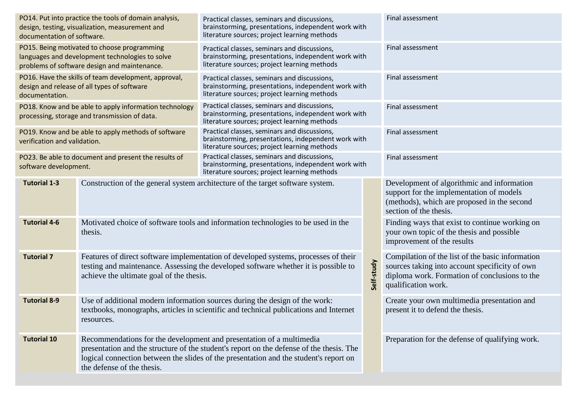| documentation of software.                                                    | PO14. Put into practice the tools of domain analysis,<br>design, testing, visualization, measurement and                                       | Practical classes, seminars and discussions,<br>brainstorming, presentations, independent work with<br>literature sources; project learning methods                                                                                                       |                  | Final assessment                                                                                                                                                           |  |
|-------------------------------------------------------------------------------|------------------------------------------------------------------------------------------------------------------------------------------------|-----------------------------------------------------------------------------------------------------------------------------------------------------------------------------------------------------------------------------------------------------------|------------------|----------------------------------------------------------------------------------------------------------------------------------------------------------------------------|--|
|                                                                               | PO15. Being motivated to choose programming<br>languages and development technologies to solve<br>problems of software design and maintenance. | Practical classes, seminars and discussions,<br>brainstorming, presentations, independent work with<br>literature sources; project learning methods                                                                                                       | Final assessment |                                                                                                                                                                            |  |
| documentation.                                                                | PO16. Have the skills of team development, approval,<br>design and release of all types of software                                            | Practical classes, seminars and discussions,<br>brainstorming, presentations, independent work with<br>literature sources; project learning methods                                                                                                       |                  | Final assessment                                                                                                                                                           |  |
|                                                                               | PO18. Know and be able to apply information technology<br>processing, storage and transmission of data.                                        | Practical classes, seminars and discussions,<br>brainstorming, presentations, independent work with<br>literature sources; project learning methods                                                                                                       |                  | Final assessment                                                                                                                                                           |  |
| verification and validation.                                                  | PO19. Know and be able to apply methods of software                                                                                            | Practical classes, seminars and discussions,<br>brainstorming, presentations, independent work with<br>literature sources; project learning methods                                                                                                       | Final assessment |                                                                                                                                                                            |  |
| PO23. Be able to document and present the results of<br>software development. |                                                                                                                                                | Practical classes, seminars and discussions,<br>brainstorming, presentations, independent work with<br>literature sources; project learning methods                                                                                                       |                  | Final assessment                                                                                                                                                           |  |
| <b>Tutorial 1-3</b>                                                           | Construction of the general system architecture of the target software system.                                                                 |                                                                                                                                                                                                                                                           |                  | Development of algorithmic and information<br>support for the implementation of models<br>(methods), which are proposed in the second<br>section of the thesis.            |  |
| <b>Tutorial 4-6</b>                                                           | Motivated choice of software tools and information technologies to be used in the<br>thesis.                                                   |                                                                                                                                                                                                                                                           |                  | Finding ways that exist to continue working on<br>your own topic of the thesis and possible<br>improvement of the results                                                  |  |
| <b>Tutorial 7</b>                                                             | achieve the ultimate goal of the thesis.                                                                                                       | Features of direct software implementation of developed systems, processes of their<br>testing and maintenance. Assessing the developed software whether it is possible to                                                                                | Self-study       | Compilation of the list of the basic information<br>sources taking into account specificity of own<br>diploma work. Formation of conclusions to the<br>qualification work. |  |
| <b>Tutorial 8-9</b>                                                           | resources.                                                                                                                                     | Use of additional modern information sources during the design of the work:<br>textbooks, monographs, articles in scientific and technical publications and Internet                                                                                      |                  | Create your own multimedia presentation and<br>present it to defend the thesis.                                                                                            |  |
| <b>Tutorial 10</b>                                                            | the defense of the thesis.                                                                                                                     | Recommendations for the development and presentation of a multimedia<br>presentation and the structure of the student's report on the defense of the thesis. The<br>logical connection between the slides of the presentation and the student's report on |                  | Preparation for the defense of qualifying work.                                                                                                                            |  |